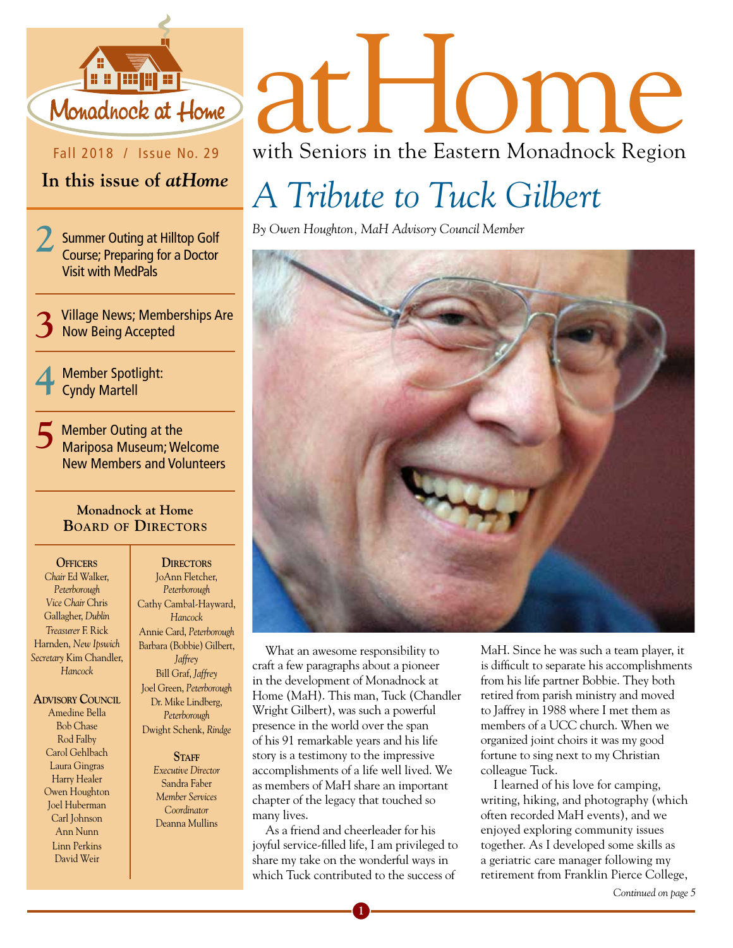

Fall 2018 / Issue No. 29

#### **In this issue of** *atHome*

**2** Summer Outing at Hilltop Golf Course; Preparing for a Doctor Visit with MedPals

**3**Village News; Memberships Are Now Being Accepted

**4** Member Spotlight: Cyndy Martell

**5** Member Outing at the Mariposa Museum; Welcome New Members and Volunteers

#### **Monadnock at Home BOArd Of directOrs**

**Officers** *Chair* Ed Walker, *Peterborough Vice Chair* Chris Gallagher, *Dublin Treasurer* F. Rick Harnden, *New Ipswich Secretary* Kim Chandler, *Hancock*

**ADVISORY COUNCIL** Amedine Bella Bob Chase Rod Falby Carol Gehlbach Laura Gingras Harry Healer Owen Houghton Joel Huberman Carl Johnson Ann Nunn Linn Perkins David Weir

**DIRECTORS** JoAnn Fletcher, *Peterborough* Cathy Cambal-Hayward, *Hancock* Annie Card, *Peterborough* Barbara (Bobbie) Gilbert, *Jaffrey* Bill Graf, *Jaffrey* Joel Green, *Peterborough* Dr. Mike Lindberg, *Peterborough* Dwight Schenk, *Rindge*

> STAFF *Executive Director* Sandra Faber *Member Services Coordinator*  Deanna Mullins

# atHome with Seniors in the Eastern Monadnock Region

## *A Tribute to Tuck Gilbert*

*By Owen Houghton, MaH Advisory Council Member*



What an awesome responsibility to craft a few paragraphs about a pioneer in the development of Monadnock at Home (MaH). This man, Tuck (Chandler Wright Gilbert), was such a powerful presence in the world over the span of his 91 remarkable years and his life story is a testimony to the impressive accomplishments of a life well lived. We as members of MaH share an important chapter of the legacy that touched so many lives.

As a friend and cheerleader for his joyful service-filled life, I am privileged to share my take on the wonderful ways in which Tuck contributed to the success of

**1**

MaH. Since he was such a team player, it is difficult to separate his accomplishments from his life partner Bobbie. They both retired from parish ministry and moved to Jaffrey in 1988 where I met them as members of a UCC church. When we organized joint choirs it was my good fortune to sing next to my Christian colleague Tuck.

I learned of his love for camping, writing, hiking, and photography (which often recorded MaH events), and we enjoyed exploring community issues together. As I developed some skills as a geriatric care manager following my retirement from Franklin Pierce College,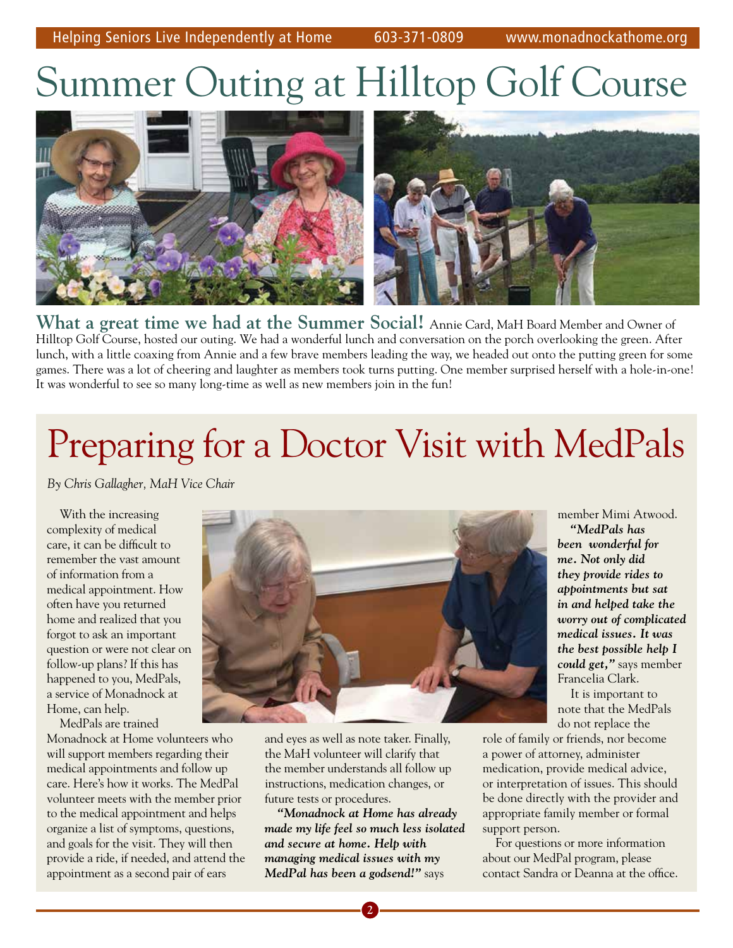# Summer Outing at Hilltop Golf Course



**What a great time we had at the Summer Social!** Annie Card, MaH Board Member and Owner of **What a great time we had at the Summer Social!** Annie Card, MaH Board Member and Owner of Hilltop Golf Course, hosted our outing. We had a wonderful lunch and conversation on the porch overlooking the green. After lunch, with a little coaxing from Annie and a few brave members leading the way, we headed out onto the putting green for some games. There was a lot of cheering and laughter as members took turns putting. One member surprised herself with a hole-in-one! It was wonderful to see so many long-time as well as new members join in the fun! It was wonderful to see so many long-time as well as new members join in the fun!

# Preparing for a Doctor Visit with MedPals Preparing for a Doctor Visit with MedPals

*By Chris Gallagher, MaH Vice Chair By Chris Gallagher, MaH Vice Chair*

With the increasing With the increasing complexity of medical complexity of medical care, it can be difficult to care, it can be difficult to remember the vast amount remember the vast amount of information from a of information from a medical appointment. How medical appointment. How often have you returned often have you returned home and realized that you home and realized that you forgot to ask an important forgot to ask an important question or were not clear on question or were not clear on follow-up plans? If this has follow-up plans? If this has happened to you, MedPals, happened to you, MedPals, a service of Monadnock at a service of Monadnock at Home, can help. Home, can help.

MedPals are trained MedPals are trained Monadnock at Home volunteers who Monadnock at Home volunteers who will support members regarding their will support members regarding their medical appointments and follow up medical appointments and follow up care. Here's how it works. The MedPal care. Here's how it works. The MedPal volunteer meets with the member prior volunteer meets with the member prior to the medical appointment and helps to the medical appointment and helps organize a list of symptoms, questions, organize a list of symptoms, questions, and goals for the visit. They will then and goals for the visit. They will then provide a ride, if needed, and attend the provide a ride, if needed, and attend the appointment as a second pair of ears appointment as a second pair of ears



and eyes as well as note taker. Finally, and eyes as well as note taker. Finally, the MaH volunteer will clarify that the MaH volunteer will clarify that the member understands all follow up the member understands all follow up instructions, medication changes, or instructions, medication changes, or future tests or procedures. future tests or procedures.

*"Monadnock at Home has already "Monadnock at Home has already made my life feel so much less isolated made my life feel so much less isolated and secure at home. Help with and secure at home. Help with managing medical issues with my managing medical issues with my MedPal has been a godsend!"* says *MedPal has been a godsend!"* says

member Mimi Atwood. member Mimi Atwood. *"MedPals has "MedPals has been wonderful for been wonderful for me. Not only did me. Not only did they provide rides to they provide rides to appointments but sat appointments but sat in and helped take the in and helped take the worry out of complicated worry out of complicated medical issues. It was medical issues. It was the best possible help I the best possible help I could get,"* says member *could get,"* says member Francelia Clark. Francelia Clark.

It is important to It is important to note that the MedPals note that the MedPals do not replace the do not replace the

role of family or friends, nor become role of family or friends, nor become a power of attorney, administer a power of attorney, administer medication, provide medical advice, medication, provide medical advice, or interpretation of issues. This should or interpretation of issues. This should be done directly with the provider and be done directly with the provider and appropriate family member or formal appropriate family member or formal support person. support person.

For questions or more information For questions or more information about our MedPal program, please about our MedPal program, please contact Sandra or Deanna at the office. contact Sandra or Deanna at the office.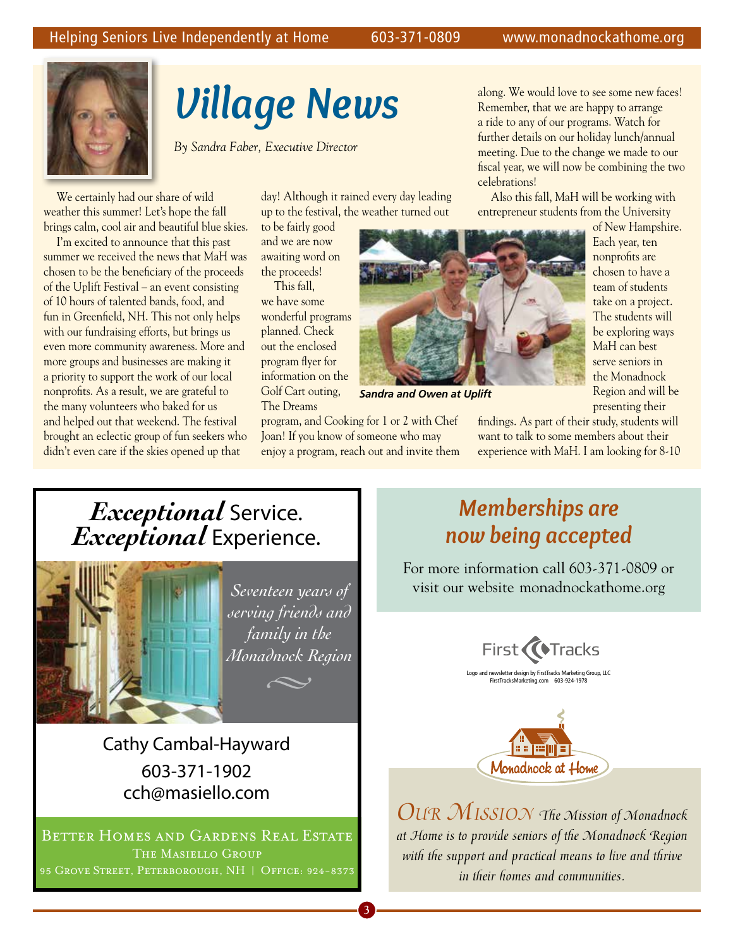

### *Village News* Button Golf Course along. We would love to see some new faces!

*By Sandra Faber, Executive Director* 

We certainly had our share of wild weather this summer! Let's hope the fall brings calm, cool air and beautiful blue skies.

I'm excited to announce that this past summer we received the news that MaH was chosen to be the beneficiary of the proceeds of the Uplift Festival – an event consisting of 10 hours of talented bands, food, and fun in Greenfield, NH. This not only helps with our fundraising efforts, but brings us even more community awareness. More and more groups and businesses are making it a priority to support the work of our local nonprofits. As a result, we are grateful to the many volunteers who baked for us and helped out that weekend. The festival brought an eclectic group of fun seekers who didn't even care if the skies opened up that

day! Although it rained every day leading up to the festival, the weather turned out

to be fairly good and we are now awaiting word on the proceeds!

This fall, we have some wonderful programs planned. Check out the enclosed program flyer for information on the Golf Cart outing, The Dreams



*Sandra and Owen at Uplift*

program, and Cooking for 1 or 2 with Chef Joan! If you know of someone who may enjoy a program, reach out and invite them

**2 3 4**

Remember, that we are happy to arrange a ride to any of our programs. Watch for further details on our holiday lunch/annual meeting. Due to the change we made to our fiscal year, we will now be combining the two celebrations!

Also this fall, MaH will be working with entrepreneur students from the University

> of New Hampshire. Each year, ten nonprofits are chosen to have a team of students take on a project. The students will be exploring ways MaH can best serve seniors in the Monadnock Region and will be presenting their

findings. As part of their study, students will want to talk to some members about their experience with MaH. I am looking for 8-10

### *Exceptional* Service. *Exceptional* Experience.



*Seventeen years of serving friends and family in the Monadnock Region*

Cathy Cambal-Hayward 603-371-1902 cch@masiello.com

Better Homes and Gardens Real Estate The Masiello Group 95 Grove Street, Peterborough, NH **|** Off ice: 924-8373

#### *Memberships are now being accepted*

For more information call 603-371-0809 or visit our website monadnockathome.org





*Our MissiOn The Mission of Monadnock at Home is to provide seniors of the Monadnock Region with the support and practical means to live and thrive in their homes and communities.*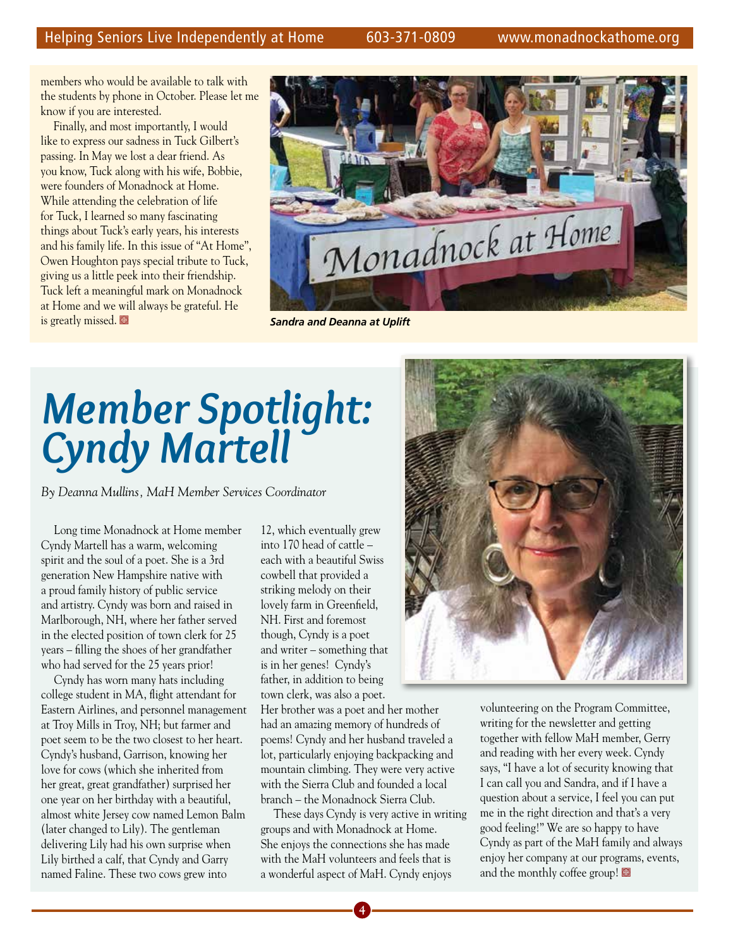members who would be available to talk with the students by phone in October. Please let me know if you are interested.

Finally, and most importantly, I would like to express our sadness in Tuck Gilbert's passing. In May we lost a dear friend. As you know, Tuck along with his wife, Bobbie, were founders of Monadnock at Home. While attending the celebration of life for Tuck, I learned so many fascinating things about Tuck's early years, his interests and his family life. In this issue of "At Home", Owen Houghton pays special tribute to Tuck, giving us a little peek into their friendship. Tuck left a meaningful mark on Monadnock at Home and we will always be grateful. He **is greatly missed.**  $\blacksquare$  **Sandra and Deanna at Uplift** 



# *Member Spotlight: Cyndy Martell*

*By Deanna Mullins, MaH Member Services Coordinator*

Long time Monadnock at Home member Cyndy Martell has a warm, welcoming spirit and the soul of a poet. She is a 3rd generation New Hampshire native with a proud family history of public service and artistry. Cyndy was born and raised in Marlborough, NH, where her father served in the elected position of town clerk for 25 years – filling the shoes of her grandfather who had served for the 25 years prior!

Cyndy has worn many hats including college student in MA, flight attendant for Eastern Airlines, and personnel management at Troy Mills in Troy, NH; but farmer and poet seem to be the two closest to her heart. Cyndy's husband, Garrison, knowing her love for cows (which she inherited from her great, great grandfather) surprised her one year on her birthday with a beautiful, almost white Jersey cow named Lemon Balm (later changed to Lily). The gentleman delivering Lily had his own surprise when Lily birthed a calf, that Cyndy and Garry named Faline. These two cows grew into

12, which eventually grew into 170 head of cattle – each with a beautiful Swiss cowbell that provided a striking melody on their lovely farm in Greenfield, NH. First and foremost though, Cyndy is a poet and writer – something that is in her genes! Cyndy's father, in addition to being town clerk, was also a poet.

Her brother was a poet and her mother had an amazing memory of hundreds of poems! Cyndy and her husband traveled a lot, particularly enjoying backpacking and mountain climbing. They were very active with the Sierra Club and founded a local branch – the Monadnock Sierra Club.

These days Cyndy is very active in writing groups and with Monadnock at Home. She enjoys the connections she has made with the MaH volunteers and feels that is a wonderful aspect of MaH. Cyndy enjoys



volunteering on the Program Committee, writing for the newsletter and getting together with fellow MaH member, Gerry and reading with her every week. Cyndy says, "I have a lot of security knowing that I can call you and Sandra, and if I have a question about a service, I feel you can put me in the right direction and that's a very good feeling!" We are so happy to have Cyndy as part of the MaH family and always enjoy her company at our programs, events, and the monthly coffee group!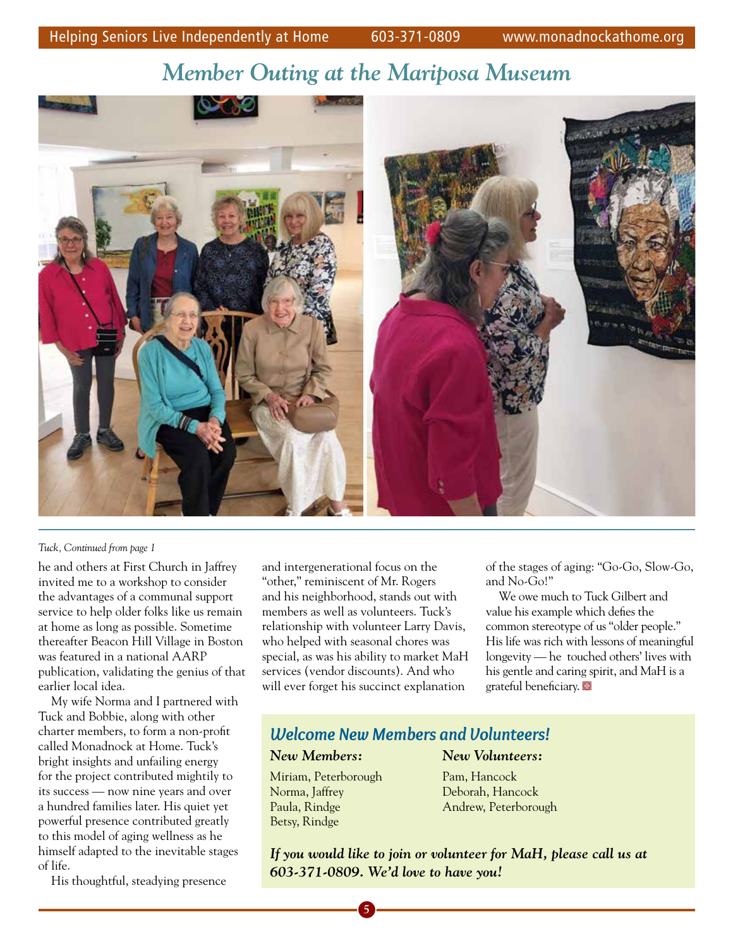#### *Member Outing at the Mariposa Museum*



#### *Tuck, Continued from page 1*

he and others at First Church in Jaffrey invited me to a workshop to consider the advantages of a communal support service to help older folks like us remain at home as long as possible. Sometime thereafter Beacon Hill Village in Boston was featured in a national AARP publication, validating the genius of that earlier local idea.

My wife Norma and I partnered with Tuck and Bobbie, along with other charter members, to form a non-profit called Monadnock at Home. Tuck's bright insights and unfailing energy for the project contributed mightily to its success — now nine years and over a hundred families later. His quiet yet powerful presence contributed greatly to this model of aging wellness as he himself adapted to the inevitable stages of life.

His thoughtful, steadying presence

and intergenerational focus on the "other," reminiscent of Mr. Rogers and his neighborhood, stands out with members as well as volunteers. Tuck's relationship with volunteer Larry Davis, who helped with seasonal chores was special, as was his ability to market MaH services (vendor discounts). And who will ever forget his succinct explanation

of the stages of aging: "Go-Go, Slow-Go, and No-Go!"

We owe much to Tuck Gilbert and value his example which defies the common stereotype of us "older people." His life was rich with lessons of meaningful longevity — he touched others' lives with his gentle and caring spirit, and MaH is a grateful beneficiary.

#### *Welcome New Members and Volunteers!*

#### *New Members: New Volunteers:*

Miriam, Peterborough Pam, Hancock Norma, Jaffrey Deborah, Hancock Betsy, Rindge

Paula, Rindge Andrew, Peterborough

*If you would like to join or volunteer for MaH, please call us at 603-371-0809. We'd love to have you!*